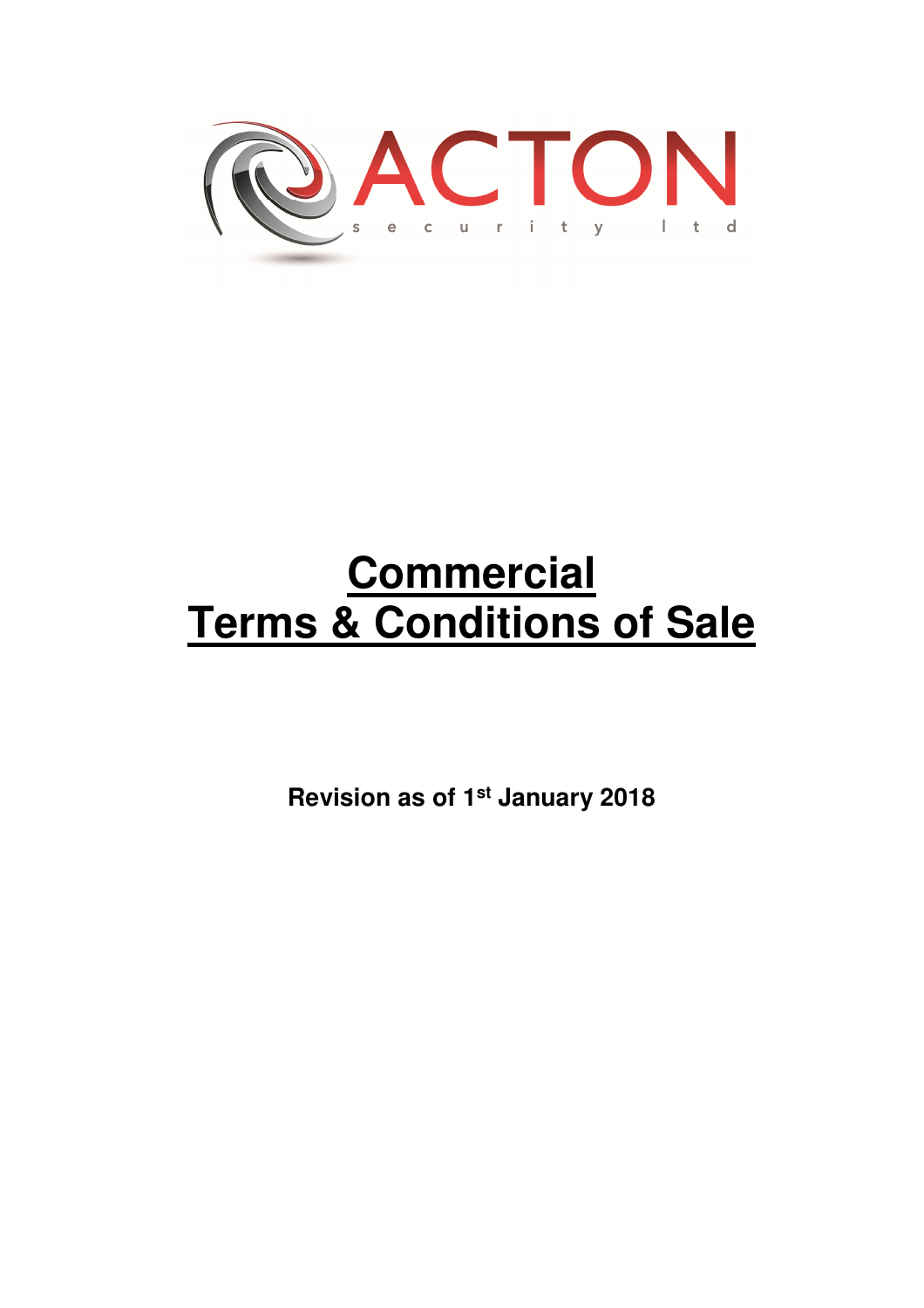

# **Commercial Terms & Conditions of Sale**

**Revision as of 1st January 2018**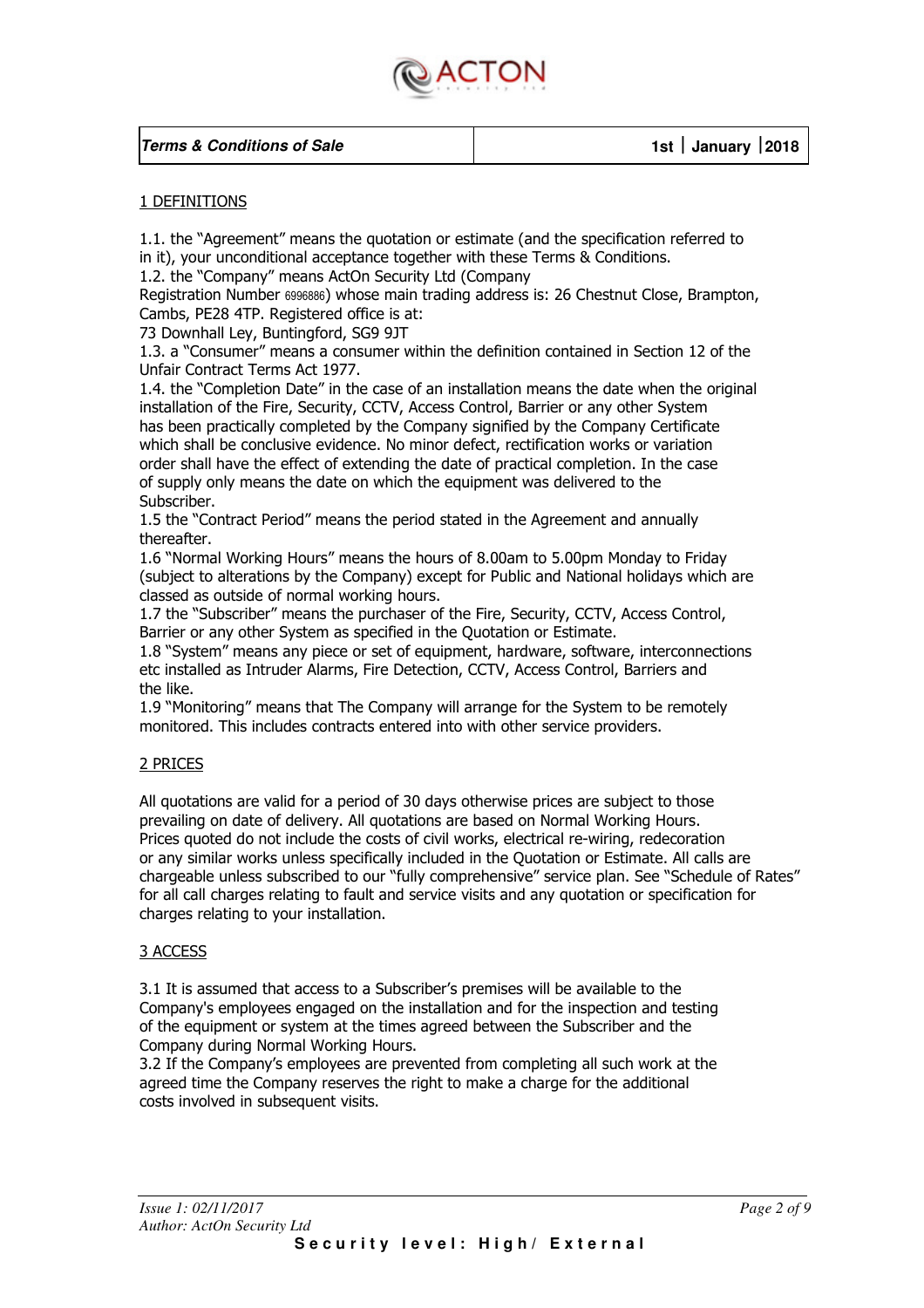

#### 1 DEFINITIONS

1.1. the "Agreement" means the quotation or estimate (and the specification referred to in it), your unconditional acceptance together with these Terms & Conditions.

1.2. the "Company" means ActOn Security Ltd (Company

Registration Number 6996886) whose main trading address is: 26 Chestnut Close, Brampton, Cambs, PE28 4TP. Registered office is at:

73 Downhall Ley, Buntingford, SG9 9JT

1.3. a "Consumer" means a consumer within the definition contained in Section 12 of the Unfair Contract Terms Act 1977.

1.4. the "Completion Date" in the case of an installation means the date when the original installation of the Fire, Security, CCTV, Access Control, Barrier or any other System has been practically completed by the Company signified by the Company Certificate which shall be conclusive evidence. No minor defect, rectification works or variation order shall have the effect of extending the date of practical completion. In the case of supply only means the date on which the equipment was delivered to the Subscriber.

1.5 the "Contract Period" means the period stated in the Agreement and annually thereafter.

1.6 "Normal Working Hours" means the hours of 8.00am to 5.00pm Monday to Friday (subject to alterations by the Company) except for Public and National holidays which are classed as outside of normal working hours.

1.7 the "Subscriber" means the purchaser of the Fire, Security, CCTV, Access Control, Barrier or any other System as specified in the Quotation or Estimate.

1.8 "System" means any piece or set of equipment, hardware, software, interconnections etc installed as Intruder Alarms, Fire Detection, CCTV, Access Control, Barriers and the like.

1.9 "Monitoring" means that The Company will arrange for the System to be remotely monitored. This includes contracts entered into with other service providers.

### 2 PRICES

All quotations are valid for a period of 30 days otherwise prices are subject to those prevailing on date of delivery. All quotations are based on Normal Working Hours. Prices quoted do not include the costs of civil works, electrical re-wiring, redecoration or any similar works unless specifically included in the Quotation or Estimate. All calls are chargeable unless subscribed to our "fully comprehensive" service plan. See "Schedule of Rates" for all call charges relating to fault and service visits and any quotation or specification for charges relating to your installation.

#### 3 ACCESS

3.1 It is assumed that access to a Subscriber's premises will be available to the Company's employees engaged on the installation and for the inspection and testing of the equipment or system at the times agreed between the Subscriber and the Company during Normal Working Hours.

3.2 If the Company's employees are prevented from completing all such work at the agreed time the Company reserves the right to make a charge for the additional costs involved in subsequent visits.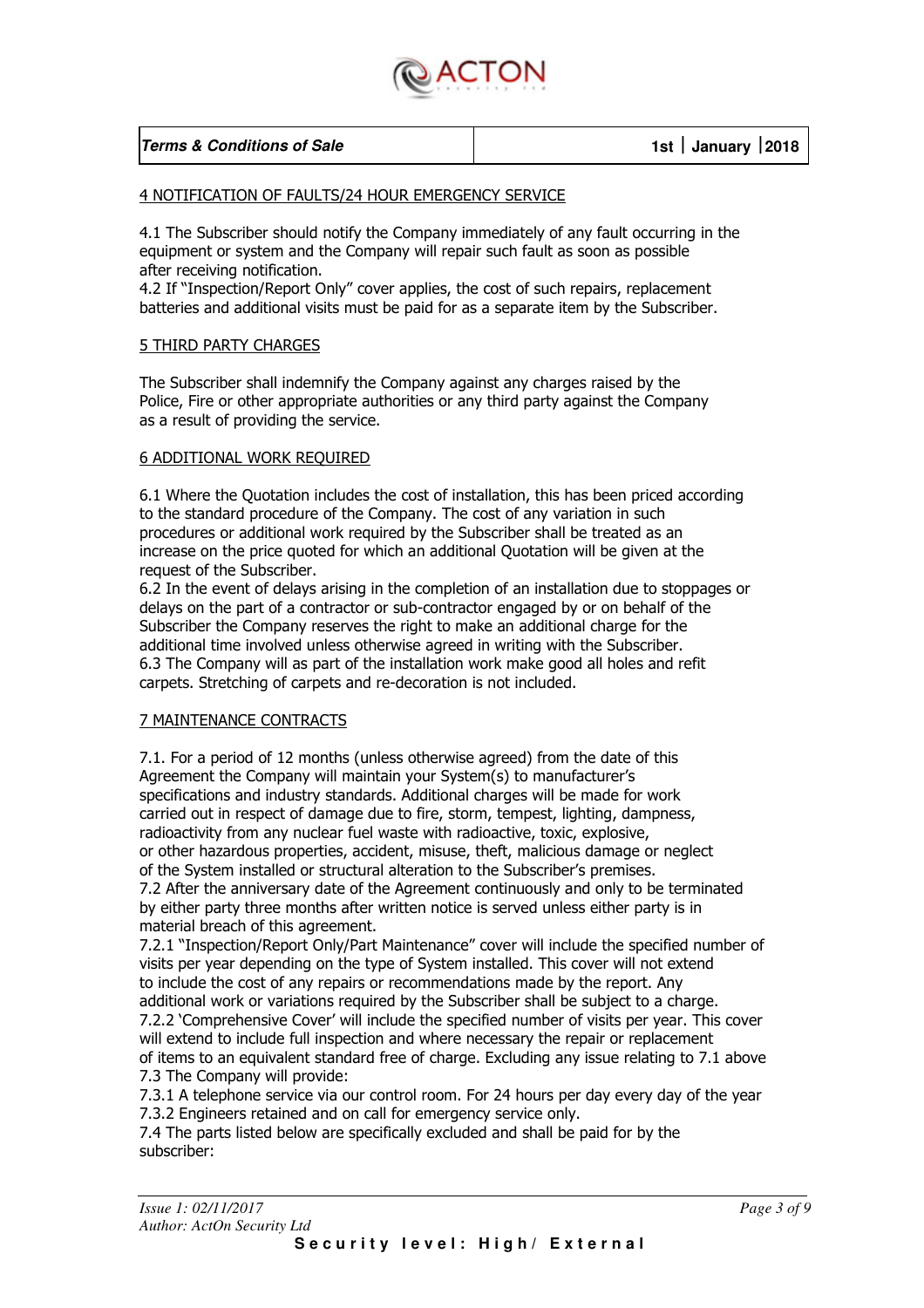

| <b>Terms &amp; Conditions of Sale</b> |  |
|---------------------------------------|--|
|---------------------------------------|--|

#### 4 NOTIFICATION OF FAULTS/24 HOUR EMERGENCY SERVICE

4.1 The Subscriber should notify the Company immediately of any fault occurring in the equipment or system and the Company will repair such fault as soon as possible after receiving notification.

4.2 If "Inspection/Report Only" cover applies, the cost of such repairs, replacement batteries and additional visits must be paid for as a separate item by the Subscriber.

#### 5 THIRD PARTY CHARGES

The Subscriber shall indemnify the Company against any charges raised by the Police, Fire or other appropriate authorities or any third party against the Company as a result of providing the service.

#### 6 ADDITIONAL WORK REQUIRED

6.1 Where the Quotation includes the cost of installation, this has been priced according to the standard procedure of the Company. The cost of any variation in such procedures or additional work required by the Subscriber shall be treated as an increase on the price quoted for which an additional Quotation will be given at the request of the Subscriber.

6.2 In the event of delays arising in the completion of an installation due to stoppages or delays on the part of a contractor or sub-contractor engaged by or on behalf of the Subscriber the Company reserves the right to make an additional charge for the additional time involved unless otherwise agreed in writing with the Subscriber. 6.3 The Company will as part of the installation work make good all holes and refit carpets. Stretching of carpets and re-decoration is not included.

#### 7 MAINTENANCE CONTRACTS

7.1. For a period of 12 months (unless otherwise agreed) from the date of this Agreement the Company will maintain your System(s) to manufacturer's specifications and industry standards. Additional charges will be made for work carried out in respect of damage due to fire, storm, tempest, lighting, dampness, radioactivity from any nuclear fuel waste with radioactive, toxic, explosive, or other hazardous properties, accident, misuse, theft, malicious damage or neglect of the System installed or structural alteration to the Subscriber's premises. 7.2 After the anniversary date of the Agreement continuously and only to be terminated by either party three months after written notice is served unless either party is in material breach of this agreement.

7.2.1 "Inspection/Report Only/Part Maintenance" cover will include the specified number of visits per year depending on the type of System installed. This cover will not extend to include the cost of any repairs or recommendations made by the report. Any additional work or variations required by the Subscriber shall be subject to a charge. 7.2.2 'Comprehensive Cover' will include the specified number of visits per year. This cover will extend to include full inspection and where necessary the repair or replacement of items to an equivalent standard free of charge. Excluding any issue relating to 7.1 above 7.3 The Company will provide:

7.3.1 A telephone service via our control room. For 24 hours per day every day of the year 7.3.2 Engineers retained and on call for emergency service only.

7.4 The parts listed below are specifically excluded and shall be paid for by the subscriber: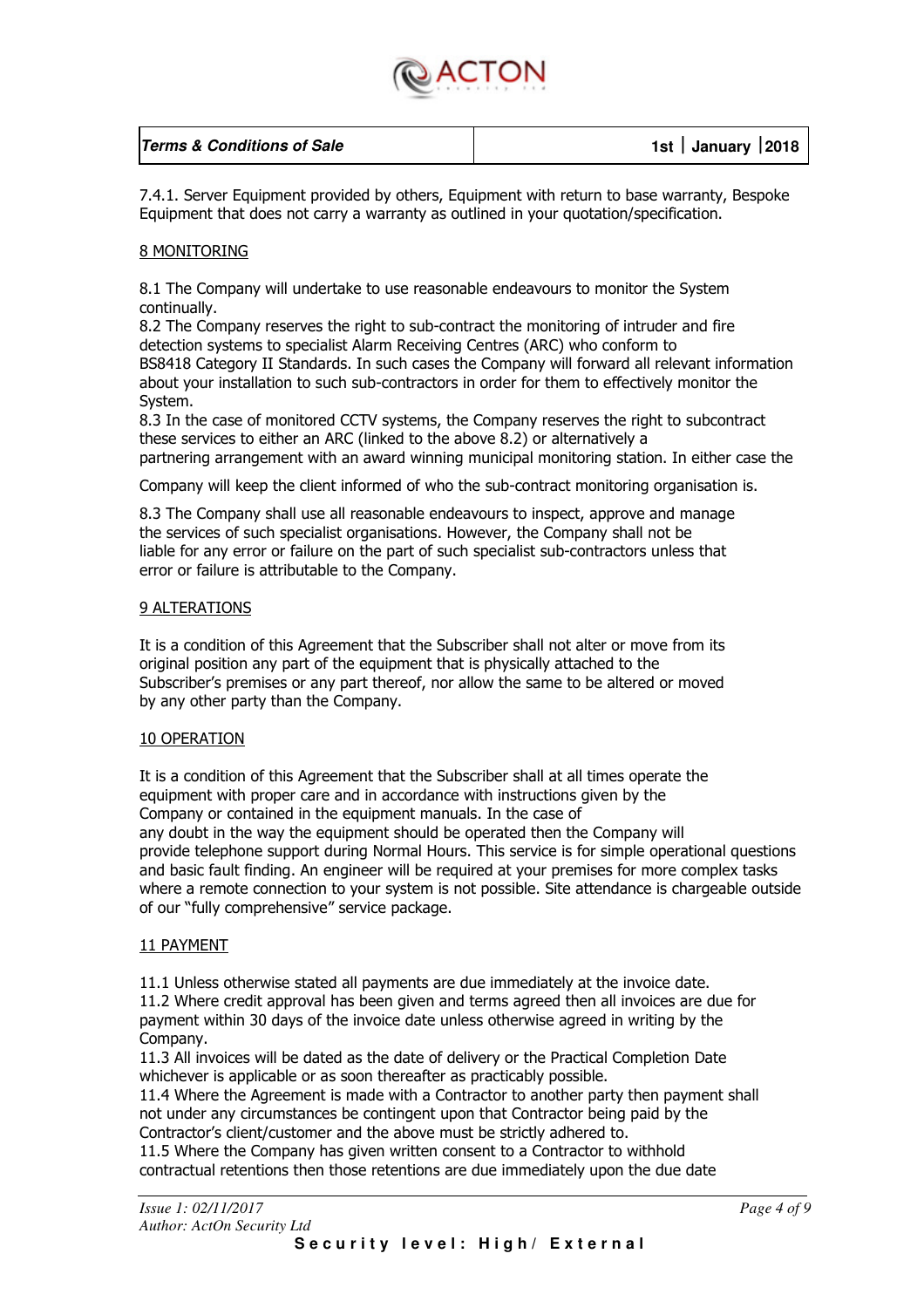

| <b>Terms &amp; Conditions of Sale</b> | 1st January 2018 |
|---------------------------------------|------------------|
|                                       |                  |

7.4.1. Server Equipment provided by others, Equipment with return to base warranty, Bespoke Equipment that does not carry a warranty as outlined in your quotation/specification.

#### 8 MONITORING

8.1 The Company will undertake to use reasonable endeavours to monitor the System continually.

8.2 The Company reserves the right to sub-contract the monitoring of intruder and fire detection systems to specialist Alarm Receiving Centres (ARC) who conform to BS8418 Category II Standards. In such cases the Company will forward all relevant information about your installation to such sub-contractors in order for them to effectively monitor the System.

8.3 In the case of monitored CCTV systems, the Company reserves the right to subcontract these services to either an ARC (linked to the above 8.2) or alternatively a partnering arrangement with an award winning municipal monitoring station. In either case the

Company will keep the client informed of who the sub-contract monitoring organisation is.

8.3 The Company shall use all reasonable endeavours to inspect, approve and manage the services of such specialist organisations. However, the Company shall not be liable for any error or failure on the part of such specialist sub-contractors unless that error or failure is attributable to the Company.

#### 9 ALTERATIONS

It is a condition of this Agreement that the Subscriber shall not alter or move from its original position any part of the equipment that is physically attached to the Subscriber's premises or any part thereof, nor allow the same to be altered or moved by any other party than the Company.

#### 10 OPERATION

It is a condition of this Agreement that the Subscriber shall at all times operate the equipment with proper care and in accordance with instructions given by the Company or contained in the equipment manuals. In the case of any doubt in the way the equipment should be operated then the Company will provide telephone support during Normal Hours. This service is for simple operational questions and basic fault finding. An engineer will be required at your premises for more complex tasks where a remote connection to your system is not possible. Site attendance is chargeable outside of our "fully comprehensive" service package.

#### 11 PAYMENT

11.1 Unless otherwise stated all payments are due immediately at the invoice date. 11.2 Where credit approval has been given and terms agreed then all invoices are due for payment within 30 days of the invoice date unless otherwise agreed in writing by the Company.

11.3 All invoices will be dated as the date of delivery or the Practical Completion Date whichever is applicable or as soon thereafter as practicably possible.

11.4 Where the Agreement is made with a Contractor to another party then payment shall not under any circumstances be contingent upon that Contractor being paid by the Contractor's client/customer and the above must be strictly adhered to.

11.5 Where the Company has given written consent to a Contractor to withhold contractual retentions then those retentions are due immediately upon the due date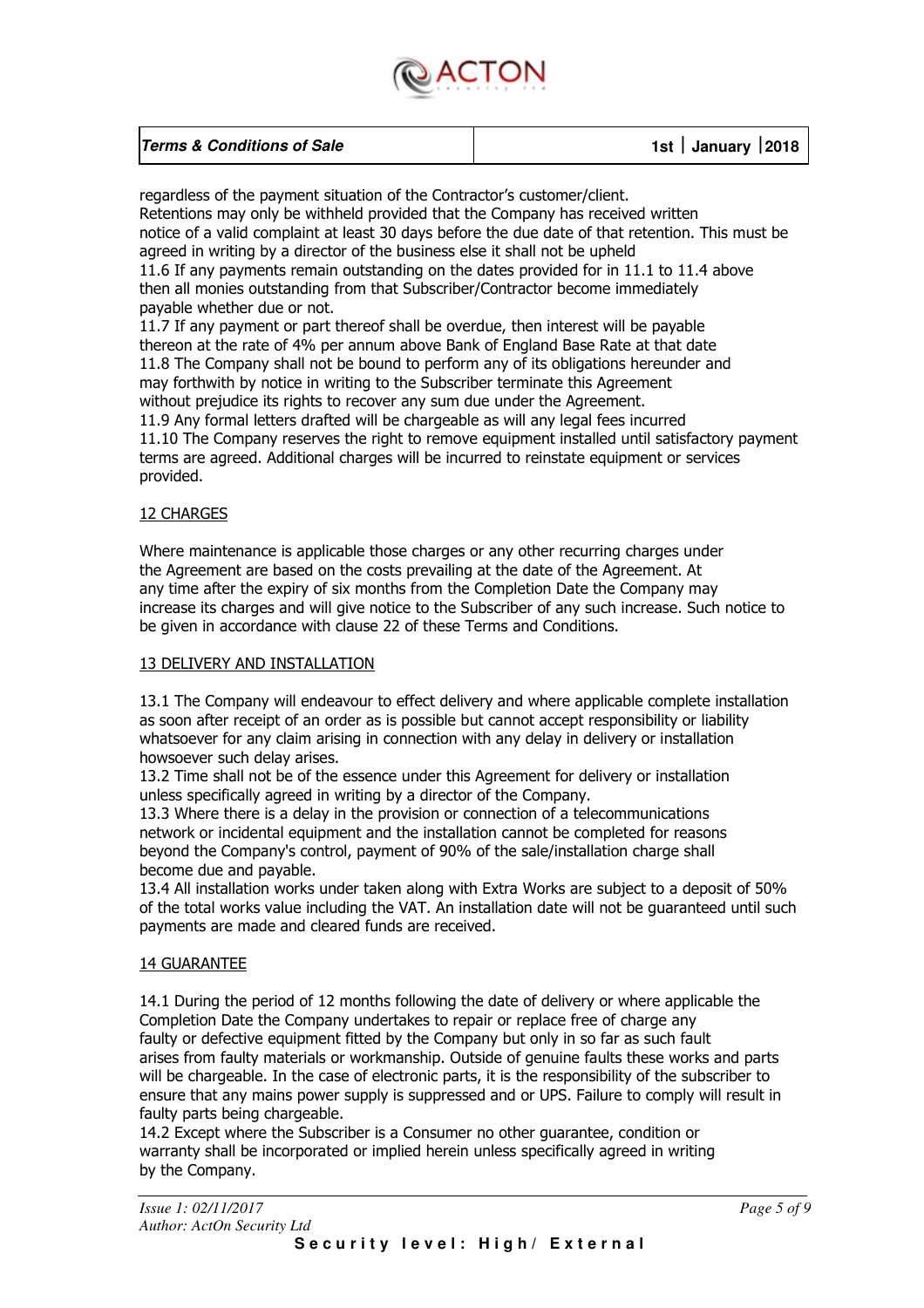

| <b>Terms &amp; Conditions of Sale</b> | 1st   January 2018 |
|---------------------------------------|--------------------|
|                                       |                    |

regardless of the payment situation of the Contractor's customer/client. Retentions may only be withheld provided that the Company has received written notice of a valid complaint at least 30 days before the due date of that retention. This must be agreed in writing by a director of the business else it shall not be upheld 11.6 If any payments remain outstanding on the dates provided for in 11.1 to 11.4 above then all monies outstanding from that Subscriber/Contractor become immediately payable whether due or not. 11.7 If any payment or part thereof shall be overdue, then interest will be payable

thereon at the rate of 4% per annum above Bank of England Base Rate at that date 11.8 The Company shall not be bound to perform any of its obligations hereunder and may forthwith by notice in writing to the Subscriber terminate this Agreement without prejudice its rights to recover any sum due under the Agreement. 11.9 Any formal letters drafted will be chargeable as will any legal fees incurred 11.10 The Company reserves the right to remove equipment installed until satisfactory payment terms are agreed. Additional charges will be incurred to reinstate equipment or services provided.

#### 12 CHARGES

Where maintenance is applicable those charges or any other recurring charges under the Agreement are based on the costs prevailing at the date of the Agreement. At any time after the expiry of six months from the Completion Date the Company may increase its charges and will give notice to the Subscriber of any such increase. Such notice to be given in accordance with clause 22 of these Terms and Conditions.

#### 13 DELIVERY AND INSTALLATION

13.1 The Company will endeavour to effect delivery and where applicable complete installation as soon after receipt of an order as is possible but cannot accept responsibility or liability whatsoever for any claim arising in connection with any delay in delivery or installation howsoever such delay arises.

13.2 Time shall not be of the essence under this Agreement for delivery or installation unless specifically agreed in writing by a director of the Company.

13.3 Where there is a delay in the provision or connection of a telecommunications network or incidental equipment and the installation cannot be completed for reasons beyond the Company's control, payment of 90% of the sale/installation charge shall become due and payable.

13.4 All installation works under taken along with Extra Works are subject to a deposit of 50% of the total works value including the VAT. An installation date will not be guaranteed until such payments are made and cleared funds are received.

#### 14 GUARANTEE

14.1 During the period of 12 months following the date of delivery or where applicable the Completion Date the Company undertakes to repair or replace free of charge any faulty or defective equipment fitted by the Company but only in so far as such fault arises from faulty materials or workmanship. Outside of genuine faults these works and parts will be chargeable. In the case of electronic parts, it is the responsibility of the subscriber to ensure that any mains power supply is suppressed and or UPS. Failure to comply will result in faulty parts being chargeable.

14.2 Except where the Subscriber is a Consumer no other guarantee, condition or warranty shall be incorporated or implied herein unless specifically agreed in writing by the Company.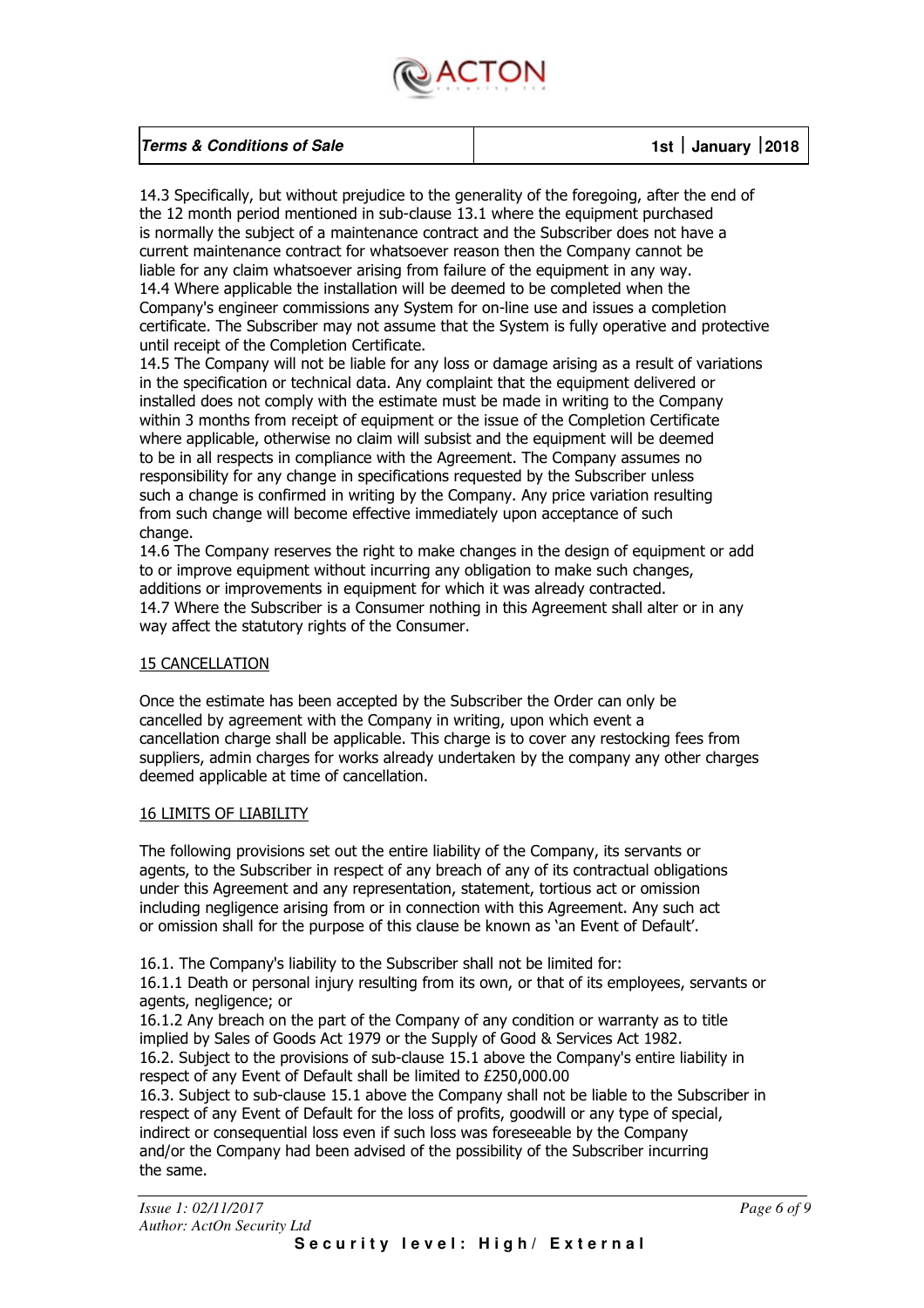

| <b>Terms &amp; Conditions of Sale</b> | 1st   January $ 2018 $ |
|---------------------------------------|------------------------|
|                                       |                        |

14.3 Specifically, but without prejudice to the generality of the foregoing, after the end of the 12 month period mentioned in sub-clause 13.1 where the equipment purchased is normally the subject of a maintenance contract and the Subscriber does not have a current maintenance contract for whatsoever reason then the Company cannot be liable for any claim whatsoever arising from failure of the equipment in any way. 14.4 Where applicable the installation will be deemed to be completed when the Company's engineer commissions any System for on-line use and issues a completion certificate. The Subscriber may not assume that the System is fully operative and protective until receipt of the Completion Certificate.

14.5 The Company will not be liable for any loss or damage arising as a result of variations in the specification or technical data. Any complaint that the equipment delivered or installed does not comply with the estimate must be made in writing to the Company within 3 months from receipt of equipment or the issue of the Completion Certificate where applicable, otherwise no claim will subsist and the equipment will be deemed to be in all respects in compliance with the Agreement. The Company assumes no responsibility for any change in specifications requested by the Subscriber unless such a change is confirmed in writing by the Company. Any price variation resulting from such change will become effective immediately upon acceptance of such change.

14.6 The Company reserves the right to make changes in the design of equipment or add to or improve equipment without incurring any obligation to make such changes, additions or improvements in equipment for which it was already contracted. 14.7 Where the Subscriber is a Consumer nothing in this Agreement shall alter or in any way affect the statutory rights of the Consumer.

#### 15 CANCELLATION

Once the estimate has been accepted by the Subscriber the Order can only be cancelled by agreement with the Company in writing, upon which event a cancellation charge shall be applicable. This charge is to cover any restocking fees from suppliers, admin charges for works already undertaken by the company any other charges deemed applicable at time of cancellation.

#### 16 LIMITS OF LIABILITY

The following provisions set out the entire liability of the Company, its servants or agents, to the Subscriber in respect of any breach of any of its contractual obligations under this Agreement and any representation, statement, tortious act or omission including negligence arising from or in connection with this Agreement. Any such act or omission shall for the purpose of this clause be known as 'an Event of Default'.

16.1. The Company's liability to the Subscriber shall not be limited for:

16.1.1 Death or personal injury resulting from its own, or that of its employees, servants or agents, negligence; or

16.1.2 Any breach on the part of the Company of any condition or warranty as to title implied by Sales of Goods Act 1979 or the Supply of Good & Services Act 1982. 16.2. Subject to the provisions of sub-clause 15.1 above the Company's entire liability in respect of any Event of Default shall be limited to £250,000.00

16.3. Subject to sub-clause 15.1 above the Company shall not be liable to the Subscriber in respect of any Event of Default for the loss of profits, goodwill or any type of special, indirect or consequential loss even if such loss was foreseeable by the Company and/or the Company had been advised of the possibility of the Subscriber incurring the same.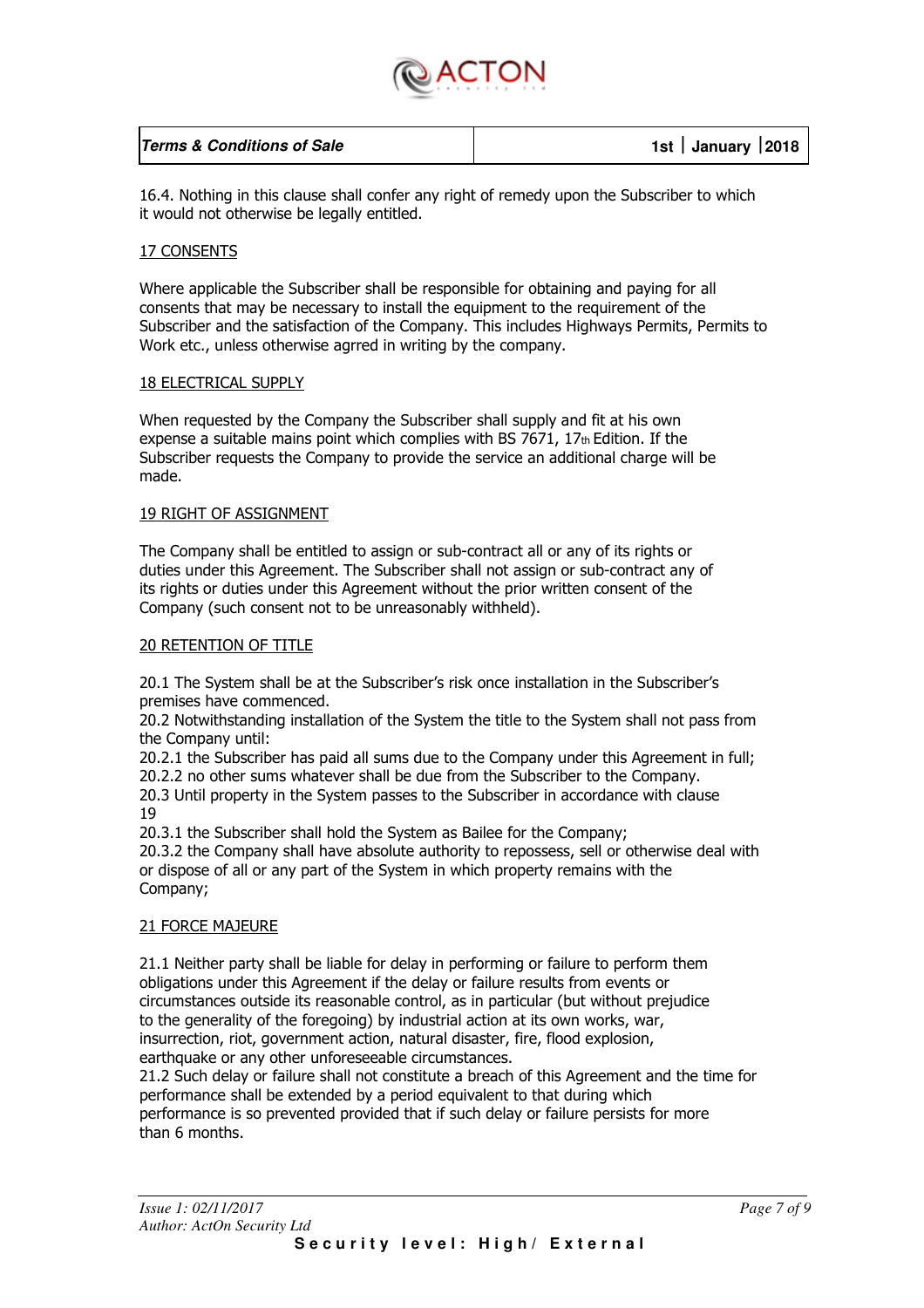

| <b>Terms &amp; Conditions of Sale</b> | 1st January 2018 |
|---------------------------------------|------------------|
|                                       |                  |

16.4. Nothing in this clause shall confer any right of remedy upon the Subscriber to which it would not otherwise be legally entitled.

#### 17 CONSENTS

Where applicable the Subscriber shall be responsible for obtaining and paying for all consents that may be necessary to install the equipment to the requirement of the Subscriber and the satisfaction of the Company. This includes Highways Permits, Permits to Work etc., unless otherwise agrred in writing by the company.

#### 18 ELECTRICAL SUPPLY

When requested by the Company the Subscriber shall supply and fit at his own expense a suitable mains point which complies with BS 7671,  $17<sub>th</sub>$  Edition. If the Subscriber requests the Company to provide the service an additional charge will be made.

#### 19 RIGHT OF ASSIGNMENT

The Company shall be entitled to assign or sub-contract all or any of its rights or duties under this Agreement. The Subscriber shall not assign or sub-contract any of its rights or duties under this Agreement without the prior written consent of the Company (such consent not to be unreasonably withheld).

#### 20 RETENTION OF TITLE

20.1 The System shall be at the Subscriber's risk once installation in the Subscriber's premises have commenced.

20.2 Notwithstanding installation of the System the title to the System shall not pass from the Company until:

20.2.1 the Subscriber has paid all sums due to the Company under this Agreement in full;

20.2.2 no other sums whatever shall be due from the Subscriber to the Company.

20.3 Until property in the System passes to the Subscriber in accordance with clause 19

20.3.1 the Subscriber shall hold the System as Bailee for the Company;

20.3.2 the Company shall have absolute authority to repossess, sell or otherwise deal with or dispose of all or any part of the System in which property remains with the Company;

#### 21 FORCE MAJEURE

21.1 Neither party shall be liable for delay in performing or failure to perform them obligations under this Agreement if the delay or failure results from events or circumstances outside its reasonable control, as in particular (but without prejudice to the generality of the foregoing) by industrial action at its own works, war, insurrection, riot, government action, natural disaster, fire, flood explosion, earthquake or any other unforeseeable circumstances.

21.2 Such delay or failure shall not constitute a breach of this Agreement and the time for performance shall be extended by a period equivalent to that during which performance is so prevented provided that if such delay or failure persists for more than 6 months.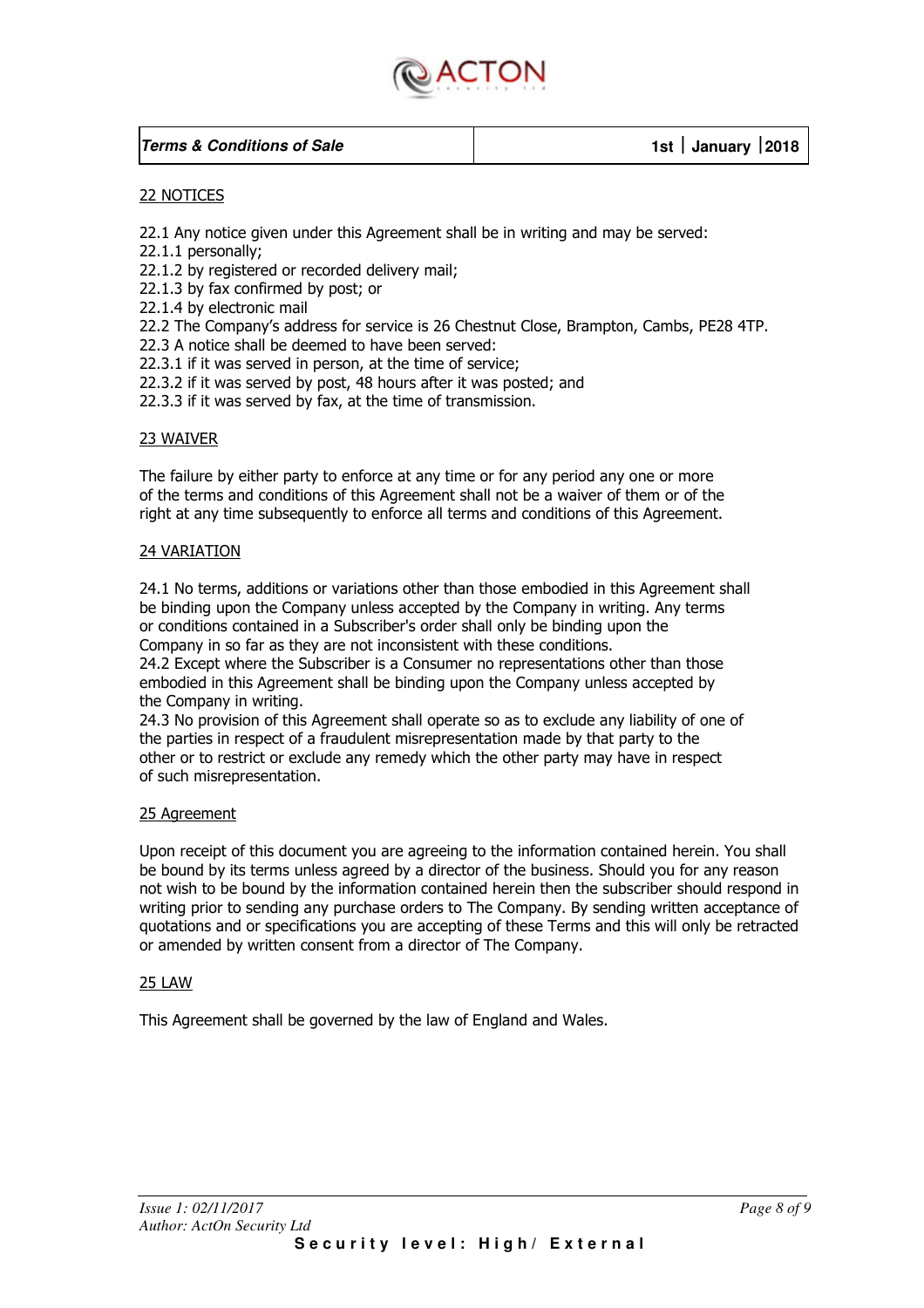

#### **Terms & Conditions of Sale 1st January 2018**

#### 22 NOTICES

22.1 Any notice given under this Agreement shall be in writing and may be served:

22.1.1 personally;

22.1.2 by registered or recorded delivery mail;

22.1.3 by fax confirmed by post; or

22.1.4 by electronic mail

22.2 The Company's address for service is 26 Chestnut Close, Brampton, Cambs, PE28 4TP.

22.3 A notice shall be deemed to have been served:

22.3.1 if it was served in person, at the time of service;

22.3.2 if it was served by post, 48 hours after it was posted; and

22.3.3 if it was served by fax, at the time of transmission.

#### 23 WAIVER

The failure by either party to enforce at any time or for any period any one or more of the terms and conditions of this Agreement shall not be a waiver of them or of the right at any time subsequently to enforce all terms and conditions of this Agreement.

#### 24 VARIATION

24.1 No terms, additions or variations other than those embodied in this Agreement shall be binding upon the Company unless accepted by the Company in writing. Any terms or conditions contained in a Subscriber's order shall only be binding upon the Company in so far as they are not inconsistent with these conditions.

24.2 Except where the Subscriber is a Consumer no representations other than those embodied in this Agreement shall be binding upon the Company unless accepted by the Company in writing.

24.3 No provision of this Agreement shall operate so as to exclude any liability of one of the parties in respect of a fraudulent misrepresentation made by that party to the other or to restrict or exclude any remedy which the other party may have in respect of such misrepresentation.

#### 25 Agreement

Upon receipt of this document you are agreeing to the information contained herein. You shall be bound by its terms unless agreed by a director of the business. Should you for any reason not wish to be bound by the information contained herein then the subscriber should respond in writing prior to sending any purchase orders to The Company. By sending written acceptance of quotations and or specifications you are accepting of these Terms and this will only be retracted or amended by written consent from a director of The Company.

#### 25 LAW

This Agreement shall be governed by the law of England and Wales.